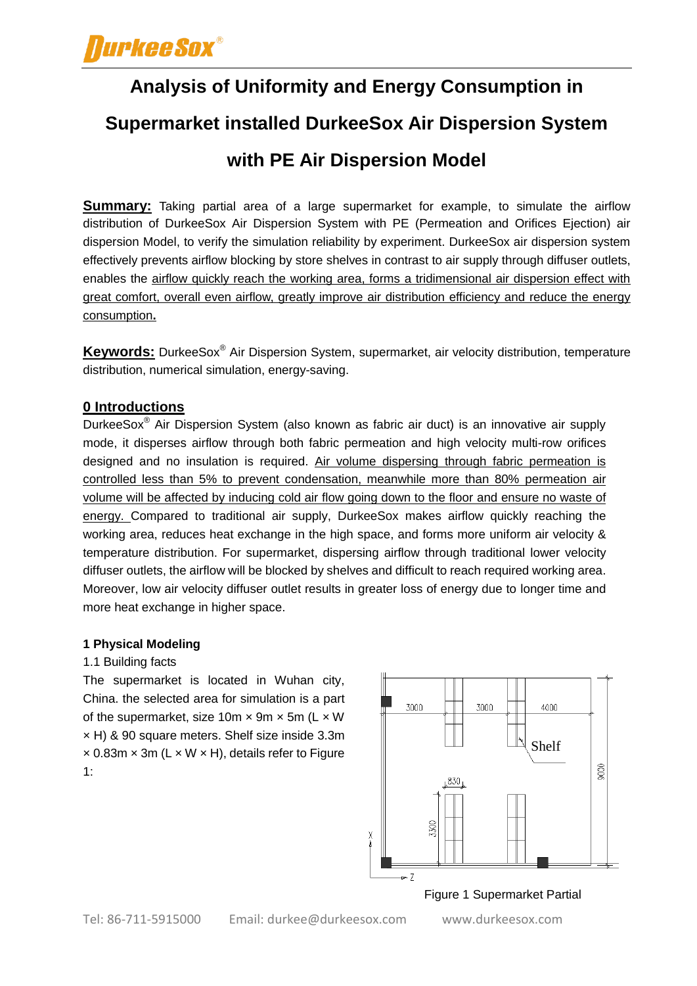**Analysis of Uniformity and Energy Consumption in Supermarket installed DurkeeSox Air Dispersion System with PE Air Dispersion Model**

**Summary:** Taking partial area of a large supermarket for example, to simulate the airflow distribution of DurkeeSox Air Dispersion System with PE (Permeation and Orifices Ejection) air dispersion Model, to verify the simulation reliability by experiment. DurkeeSox air dispersion system effectively prevents airflow blocking by store shelves in contrast to air supply through diffuser outlets, enables the airflow quickly reach the working area, forms a tridimensional air dispersion effect with great comfort, overall even airflow, greatly improve air distribution efficiency and reduce the energy consumption**.**

**Keywords:** DurkeeSox® Air Dispersion System, supermarket, air velocity distribution, temperature distribution, numerical simulation, energy-saving.

## **0 Introductions**

DurkeeSox® Air Dispersion System (also known as fabric air duct) is an innovative air supply mode, it disperses airflow through both fabric permeation and high velocity multi-row orifices designed and no insulation is required. Air volume dispersing through fabric permeation is controlled less than 5% to prevent condensation, meanwhile more than 80% permeation air volume will be affected by inducing cold air flow going down to the floor and ensure no waste of energy. Compared to traditional air supply, DurkeeSox makes airflow quickly reaching the working area, reduces heat exchange in the high space, and forms more uniform air velocity & temperature distribution. For supermarket, dispersing airflow through traditional lower velocity diffuser outlets, the airflow will be blocked by shelves and difficult to reach required working area. Moreover, low air velocity diffuser outlet results in greater loss of energy due to longer time and more heat exchange in higher space.

## **1 Physical Modeling**

#### 1.1 Building facts

The supermarket is located in Wuhan city, China. the selected area for simulation is a part of the supermarket, size 10m  $\times$  9m  $\times$  5m (L  $\times$  W × H) & 90 square meters. Shelf size inside 3.3m  $\times$  0.83m  $\times$  3m (L  $\times$  W  $\times$  H), details refer to Figure 1:



#### Figure 1 Supermarket Partial

Tel: 86-711-5915000 Email: durkee@durkeesox.com

www.durkeesox.com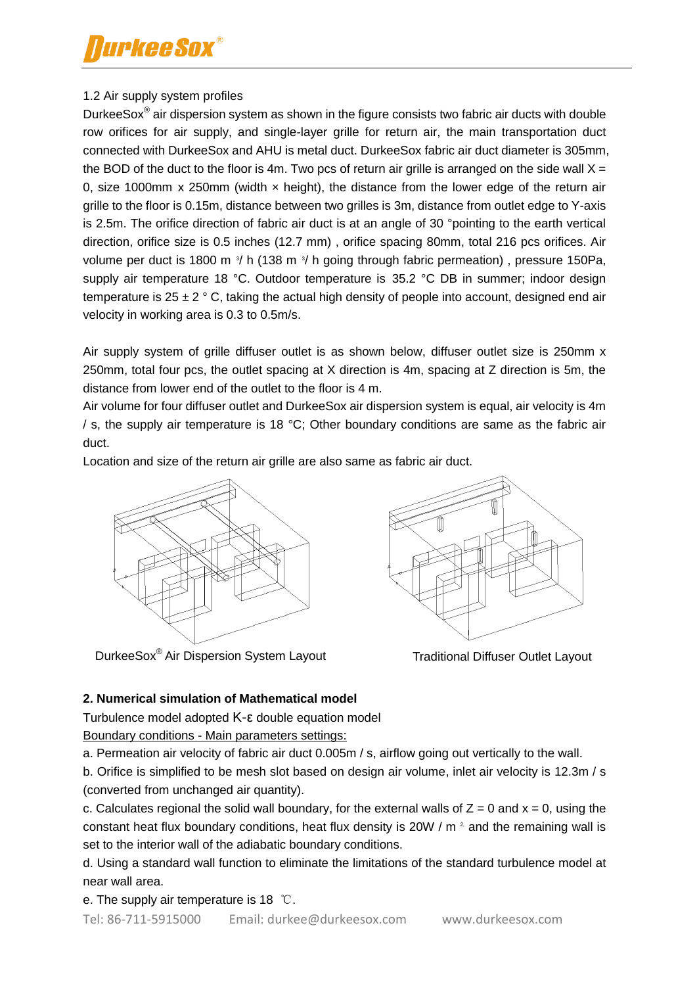## 1.2 Air supply system profiles

DurkeeSox® air dispersion system as shown in the figure consists two fabric air ducts with double row orifices for air supply, and single-layer grille for return air, the main transportation duct connected with DurkeeSox and AHU is metal duct. DurkeeSox fabric air duct diameter is 305mm, the BOD of the duct to the floor is 4m. Two pcs of return air grille is arranged on the side wall  $X =$ 0, size 1000mm x 250mm (width  $\times$  height), the distance from the lower edge of the return air grille to the floor is 0.15m, distance between two grilles is 3m, distance from outlet edge to Y-axis is 2.5m. The orifice direction of fabric air duct is at an angle of 30 °pointing to the earth vertical direction, orifice size is 0.5 inches (12.7 mm) , orifice spacing 80mm, total 216 pcs orifices. Air volume per duct is 1800 m  $\frac{3}{1}$  h (138 m  $\frac{3}{1}$  h going through fabric permeation), pressure 150Pa, supply air temperature 18 °C. Outdoor temperature is 35.2 °C DB in summer; indoor design temperature is  $25 \pm 2$  ° C, taking the actual high density of people into account, designed end air velocity in working area is 0.3 to 0.5m/s.

Air supply system of grille diffuser outlet is as shown below, diffuser outlet size is 250mm x 250mm, total four pcs, the outlet spacing at X direction is 4m, spacing at Z direction is 5m, the distance from lower end of the outlet to the floor is 4 m.

Air volume for four diffuser outlet and DurkeeSox air dispersion system is equal, air velocity is 4m / s, the supply air temperature is 18 °C; Other boundary conditions are same as the fabric air duct.

Location and size of the return air grille are also same as fabric air duct.



DurkeeSox<sup>®</sup> Air Dispersion System Layout Traditional Diffuser Outlet Layout



## **2. Numerical simulation of Mathematical model**

Turbulence model adopted K-ε double equation model Boundary conditions - Main parameters settings:

a. Permeation air velocity of fabric air duct 0.005m / s, airflow going out vertically to the wall.

b. Orifice is simplified to be mesh slot based on design air volume, inlet air velocity is 12.3m / s (converted from unchanged air quantity).

c. Calculates regional the solid wall boundary, for the external walls of  $Z = 0$  and  $x = 0$ , using the constant heat flux boundary conditions, heat flux density is 20W / m <sup>2</sup> and the remaining wall is set to the interior wall of the adiabatic boundary conditions.

d. Using a standard wall function to eliminate the limitations of the standard turbulence model at near wall area.

e. The supply air temperature is 18 ℃.

Tel: 86-711-5915000 Email: durkee@durkeesox.com www.durkeesox.com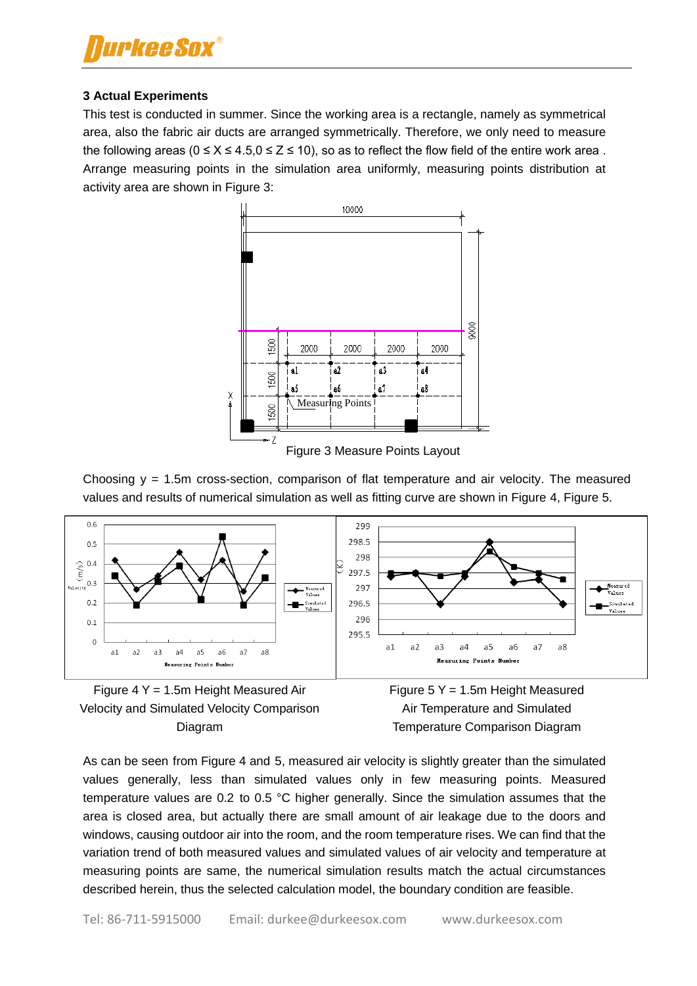

#### **3 Actual Experiments**

This test is conducted in summer. Since the working area is a rectangle, namely as symmetrical area, also the fabric air ducts are arranged symmetrically. Therefore, we only need to measure the following areas ( $0 \le X \le 4.5$ ,  $0 \le Z \le 10$ ), so as to reflect the flow field of the entire work area. Arrange measuring points in the simulation area uniformly, measuring points distribution at activity area are shown in Figure 3:



Figure 3 Measure Points Layout

Choosing y = 1.5m cross-section, comparison of flat temperature and air velocity. The measured values and results of numerical simulation as well as fitting curve are shown in Figure 4, Figure 5.





Figure 5 Y = 1.5m Height Measured Air Temperature and Simulated Temperature Comparison Diagram

As can be seen from Figure 4 and 5, measured air velocity is slightly greater than the simulated values generally, less than simulated values only in few measuring points. Measured temperature values are 0.2 to 0.5 °C higher generally. Since the simulation assumes that the area is closed area, but actually there are small amount of air leakage due to the doors and windows, causing outdoor air into the room, and the room temperature rises. We can find that the variation trend of both measured values and simulated values of air velocity and temperature at measuring points are same, the numerical simulation results match the actual circumstances described herein, thus the selected calculation model, the boundary condition are feasible.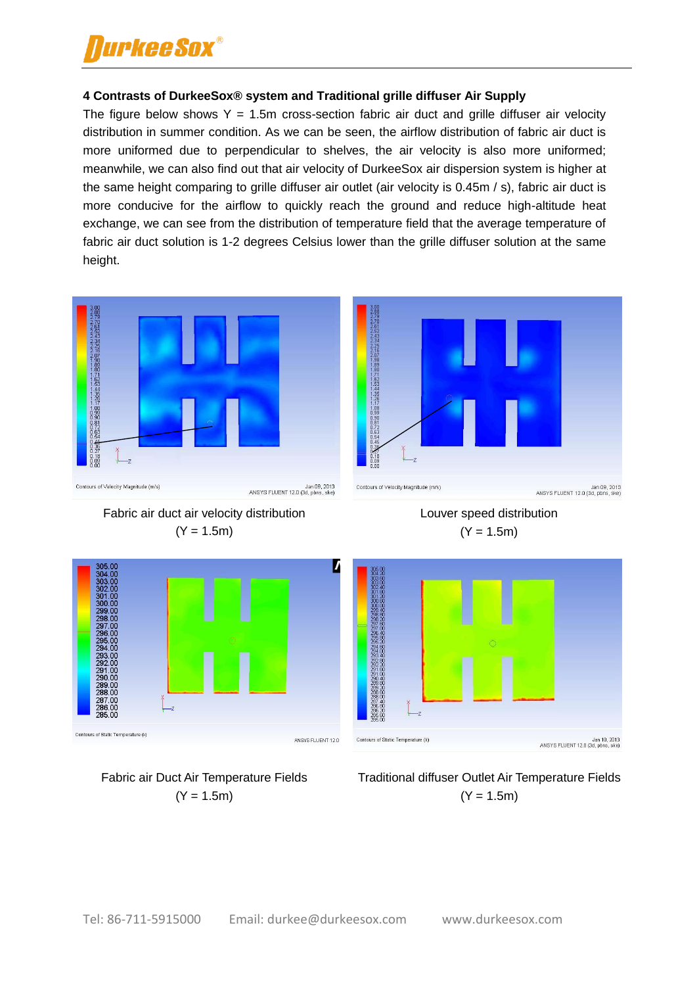# *urkee Sox®*

### **4 Contrasts of DurkeeSox® system and Traditional grille diffuser Air Supply**

The figure below shows  $Y = 1.5$ m cross-section fabric air duct and grille diffuser air velocity distribution in summer condition. As we can be seen, the airflow distribution of fabric air duct is more uniformed due to perpendicular to shelves, the air velocity is also more uniformed; meanwhile, we can also find out that air velocity of DurkeeSox air dispersion system is higher at the same height comparing to grille diffuser air outlet (air velocity is 0.45m / s), fabric air duct is more conducive for the airflow to quickly reach the ground and reduce high-altitude heat exchange, we can see from the distribution of temperature field that the average temperature of fabric air duct solution is 1-2 degrees Celsius lower than the grille diffuser solution at the same height.









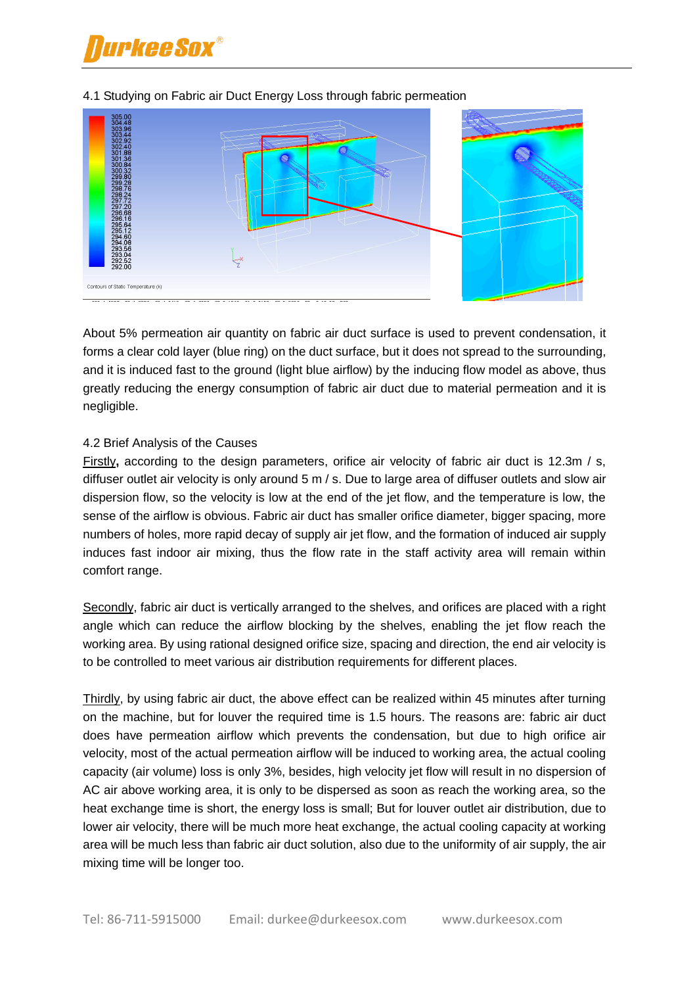



#### 4.1 Studying on Fabric air Duct Energy Loss through fabric permeation

About 5% permeation air quantity on fabric air duct surface is used to prevent condensation, it forms a clear cold layer (blue ring) on the duct surface, but it does not spread to the surrounding, and it is induced fast to the ground (light blue airflow) by the inducing flow model as above, thus greatly reducing the energy consumption of fabric air duct due to material permeation and it is negligible.

#### 4.2 Brief Analysis of the Causes

Firstly**,** according to the design parameters, orifice air velocity of fabric air duct is 12.3m / s, diffuser outlet air velocity is only around 5 m / s. Due to large area of diffuser outlets and slow air dispersion flow, so the velocity is low at the end of the jet flow, and the temperature is low, the sense of the airflow is obvious. Fabric air duct has smaller orifice diameter, bigger spacing, more numbers of holes, more rapid decay of supply air jet flow, and the formation of induced air supply induces fast indoor air mixing, thus the flow rate in the staff activity area will remain within comfort range.

Secondly, fabric air duct is vertically arranged to the shelves, and orifices are placed with a right angle which can reduce the airflow blocking by the shelves, enabling the jet flow reach the working area. By using rational designed orifice size, spacing and direction, the end air velocity is to be controlled to meet various air distribution requirements for different places.

Thirdly, by using fabric air duct, the above effect can be realized within 45 minutes after turning on the machine, but for louver the required time is 1.5 hours. The reasons are: fabric air duct does have permeation airflow which prevents the condensation, but due to high orifice air velocity, most of the actual permeation airflow will be induced to working area, the actual cooling capacity (air volume) loss is only 3%, besides, high velocity jet flow will result in no dispersion of AC air above working area, it is only to be dispersed as soon as reach the working area, so the heat exchange time is short, the energy loss is small; But for louver outlet air distribution, due to lower air velocity, there will be much more heat exchange, the actual cooling capacity at working area will be much less than fabric air duct solution, also due to the uniformity of air supply, the air mixing time will be longer too.